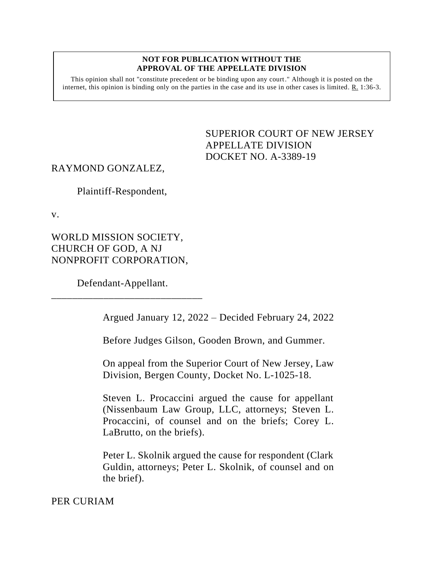#### **NOT FOR PUBLICATION WITHOUT THE APPROVAL OF THE APPELLATE DIVISION**

This opinion shall not "constitute precedent or be binding upon any court." Although it is posted on the internet, this opinion is binding only on the parties in the case and its use in other cases is limited.  $R_1$  1:36-3.

> <span id="page-0-0"></span>SUPERIOR COURT OF NEW JERSEY APPELLATE DIVISION DOCKET NO. A-3389-19

# RAYMOND GONZALEZ,

Plaintiff-Respondent,

v.

WORLD MISSION SOCIETY, CHURCH OF GOD, A NJ NONPROFIT CORPORATION,

Defendant-Appellant.

\_\_\_\_\_\_\_\_\_\_\_\_\_\_\_\_\_\_\_\_\_\_\_\_\_\_\_\_\_

Argued January 12, 2022 – Decided February 24, 2022

Before Judges Gilson, Gooden Brown, and Gummer.

On appeal from the Superior Court of New Jersey, Law Division, Bergen County, Docket No. L-1025-18.

Steven L. Procaccini argued the cause for appellant (Nissenbaum Law Group, LLC, attorneys; Steven L. Procaccini, of counsel and on the briefs; Corey L. LaBrutto, on the briefs).

Peter L. Skolnik argued the cause for respondent (Clark Guldin, attorneys; Peter L. Skolnik, of counsel and on the brief).

PER CURIAM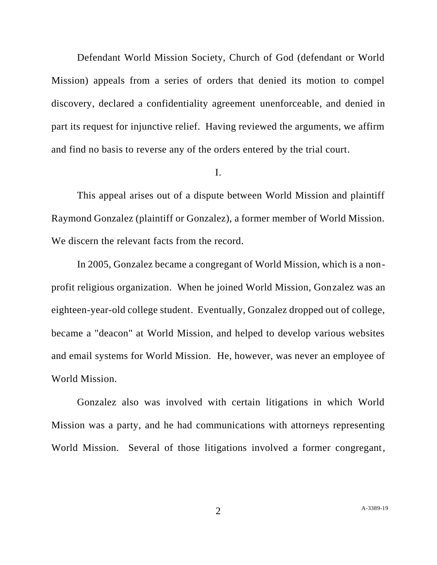Defendant World Mission Society, Church of God (defendant or World Mission) appeals from a series of orders that denied its motion to compel discovery, declared a confidentiality agreement unenforceable, and denied in part its request for injunctive relief. Having reviewed the arguments, we affirm and find no basis to reverse any of the orders entered by the trial court.

### I.

This appeal arises out of a dispute between World Mission and plaintiff Raymond Gonzalez (plaintiff or Gonzalez), a former member of World Mission. We discern the relevant facts from the record.

In 2005, Gonzalez became a congregant of World Mission, which is a nonprofit religious organization. When he joined World Mission, Gonzalez was an eighteen-year-old college student. Eventually, Gonzalez dropped out of college, became a "deacon" at World Mission, and helped to develop various websites and email systems for World Mission. He, however, was never an employee of World Mission.

Gonzalez also was involved with certain litigations in which World Mission was a party, and he had communications with attorneys representing World Mission. Several of those litigations involved a former congregant,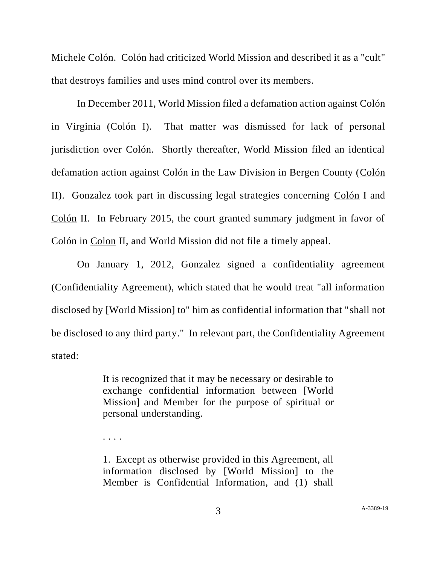Michele Colón. Colón had criticized World Mission and described it as a "cult" that destroys families and uses mind control over its members.

In December 2011, World Mission filed a defamation action against Colón in Virginia (Colón I). That matter was dismissed for lack of personal jurisdiction over Colón. Shortly thereafter, World Mission filed an identical defamation action against Colón in the Law Division in Bergen County (Colón II). Gonzalez took part in discussing legal strategies concerning Colón I and Colón II. In February 2015, the court granted summary judgment in favor of Colón in Colon II, and World Mission did not file a timely appeal.

On January 1, 2012, Gonzalez signed a confidentiality agreement (Confidentiality Agreement), which stated that he would treat "all information disclosed by [World Mission] to" him as confidential information that "shall not be disclosed to any third party." In relevant part, the Confidentiality Agreement stated:

> It is recognized that it may be necessary or desirable to exchange confidential information between [World Mission] and Member for the purpose of spiritual or personal understanding.

. . . .

1. Except as otherwise provided in this Agreement, all information disclosed by [World Mission] to the Member is Confidential Information, and (1) shall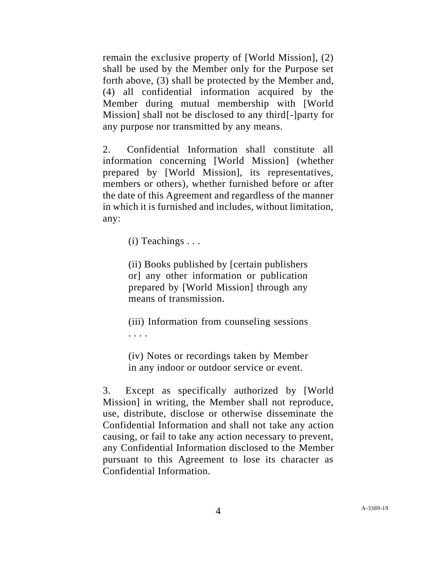remain the exclusive property of [World Mission], (2) shall be used by the Member only for the Purpose set forth above, (3) shall be protected by the Member and, (4) all confidential information acquired by the Member during mutual membership with [World Mission] shall not be disclosed to any third[-]party for any purpose nor transmitted by any means.

2. Confidential Information shall constitute all information concerning [World Mission] (whether prepared by [World Mission], its representatives, members or others), whether furnished before or after the date of this Agreement and regardless of the manner in which it is furnished and includes, without limitation, any:

 $(i)$  Teachings  $\dots$ 

(ii) Books published by [certain publishers or] any other information or publication prepared by [World Mission] through any means of transmission.

(iii) Information from counseling sessions . . . .

(iv) Notes or recordings taken by Member in any indoor or outdoor service or event.

3. Except as specifically authorized by [World Mission] in writing, the Member shall not reproduce, use, distribute, disclose or otherwise disseminate the Confidential Information and shall not take any action causing, or fail to take any action necessary to prevent, any Confidential Information disclosed to the Member pursuant to this Agreement to lose its character as Confidential Information.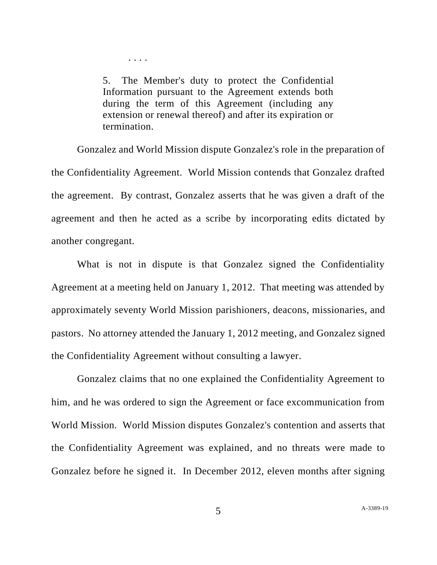5. The Member's duty to protect the Confidential Information pursuant to the Agreement extends both during the term of this Agreement (including any extension or renewal thereof) and after its expiration or termination.

. . . .

Gonzalez and World Mission dispute Gonzalez's role in the preparation of the Confidentiality Agreement. World Mission contends that Gonzalez drafted the agreement. By contrast, Gonzalez asserts that he was given a draft of the agreement and then he acted as a scribe by incorporating edits dictated by another congregant.

What is not in dispute is that Gonzalez signed the Confidentiality Agreement at a meeting held on January 1, 2012. That meeting was attended by approximately seventy World Mission parishioners, deacons, missionaries, and pastors. No attorney attended the January 1, 2012 meeting, and Gonzalez signed the Confidentiality Agreement without consulting a lawyer.

Gonzalez claims that no one explained the Confidentiality Agreement to him, and he was ordered to sign the Agreement or face excommunication from World Mission. World Mission disputes Gonzalez's contention and asserts that the Confidentiality Agreement was explained, and no threats were made to Gonzalez before he signed it. In December 2012, eleven months after signing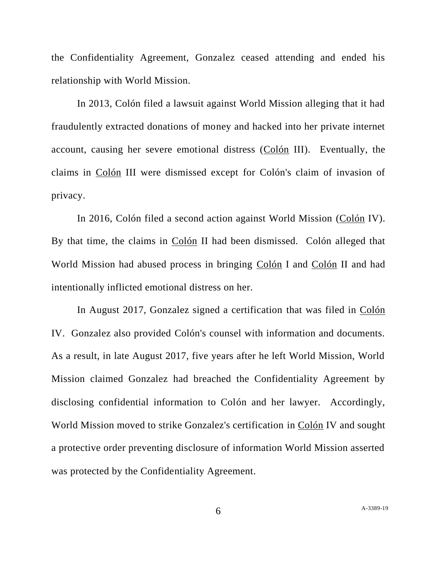the Confidentiality Agreement, Gonzalez ceased attending and ended his relationship with World Mission.

In 2013, Colón filed a lawsuit against World Mission alleging that it had fraudulently extracted donations of money and hacked into her private internet account, causing her severe emotional distress (Colón III). Eventually, the claims in Colón III were dismissed except for Colón's claim of invasion of privacy.

In 2016, Colón filed a second action against World Mission (Colón IV). By that time, the claims in Colón II had been dismissed. Colón alleged that World Mission had abused process in bringing Colón I and Colón II and had intentionally inflicted emotional distress on her.

In August 2017, Gonzalez signed a certification that was filed in Colón IV. Gonzalez also provided Colón's counsel with information and documents. As a result, in late August 2017, five years after he left World Mission, World Mission claimed Gonzalez had breached the Confidentiality Agreement by disclosing confidential information to Colón and her lawyer. Accordingly, World Mission moved to strike Gonzalez's certification in Colón IV and sought a protective order preventing disclosure of information World Mission asserted was protected by the Confidentiality Agreement.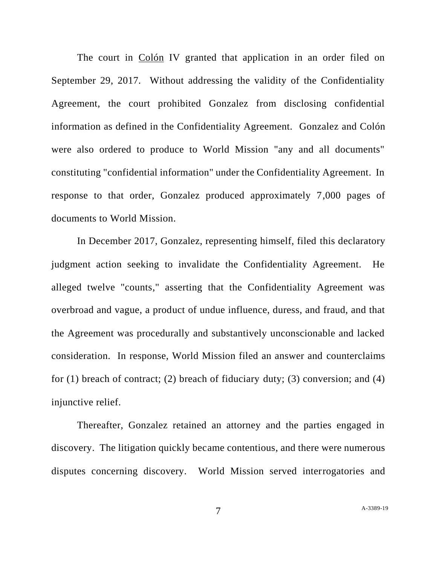The court in Colón IV granted that application in an order filed on September 29, 2017. Without addressing the validity of the Confidentiality Agreement, the court prohibited Gonzalez from disclosing confidential information as defined in the Confidentiality Agreement. Gonzalez and Colón were also ordered to produce to World Mission "any and all documents" constituting "confidential information" under the Confidentiality Agreement. In response to that order, Gonzalez produced approximately 7,000 pages of documents to World Mission.

In December 2017, Gonzalez, representing himself, filed this declaratory judgment action seeking to invalidate the Confidentiality Agreement. He alleged twelve "counts," asserting that the Confidentiality Agreement was overbroad and vague, a product of undue influence, duress, and fraud, and that the Agreement was procedurally and substantively unconscionable and lacked consideration. In response, World Mission filed an answer and counterclaims for  $(1)$  breach of contract;  $(2)$  breach of fiduciary duty;  $(3)$  conversion; and  $(4)$ injunctive relief.

Thereafter, Gonzalez retained an attorney and the parties engaged in discovery. The litigation quickly became contentious, and there were numerous disputes concerning discovery. World Mission served interrogatories and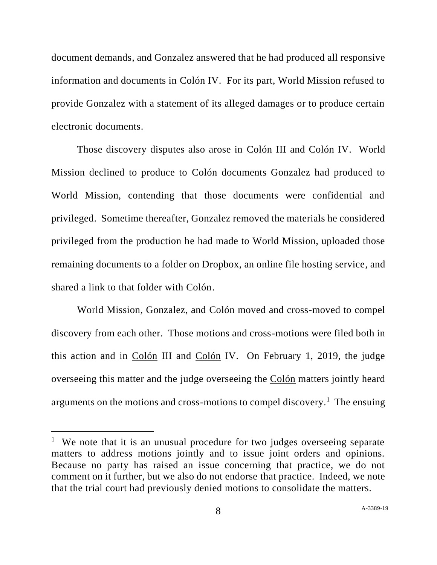document demands, and Gonzalez answered that he had produced all responsive information and documents in Colón IV. For its part, World Mission refused to provide Gonzalez with a statement of its alleged damages or to produce certain electronic documents.

Those discovery disputes also arose in Colón III and Colón IV. World Mission declined to produce to Colón documents Gonzalez had produced to World Mission, contending that those documents were confidential and privileged. Sometime thereafter, Gonzalez removed the materials he considered privileged from the production he had made to World Mission, uploaded those remaining documents to a folder on Dropbox, an online file hosting service, and shared a link to that folder with Colón.

World Mission, Gonzalez, and Colón moved and cross-moved to compel discovery from each other. Those motions and cross-motions were filed both in this action and in Colón III and Colón IV. On February 1, 2019, the judge overseeing this matter and the judge overseeing the Colón matters jointly heard arguments on the motions and cross-motions to compel discovery.<sup>1</sup> The ensuing

<sup>&</sup>lt;sup>1</sup> We note that it is an unusual procedure for two judges overseeing separate matters to address motions jointly and to issue joint orders and opinions. Because no party has raised an issue concerning that practice, we do not comment on it further, but we also do not endorse that practice. Indeed, we note that the trial court had previously denied motions to consolidate the matters.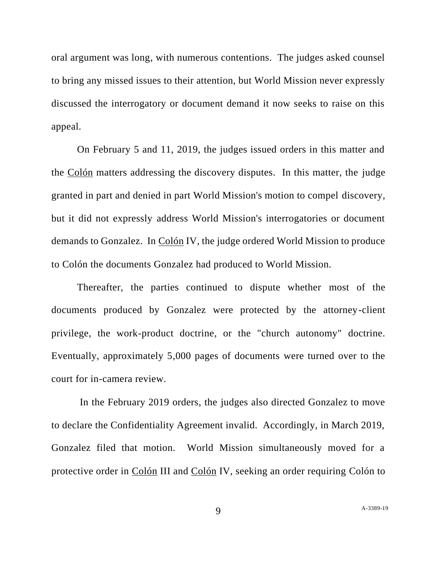oral argument was long, with numerous contentions. The judges asked counsel to bring any missed issues to their attention, but World Mission never expressly discussed the interrogatory or document demand it now seeks to raise on this appeal.

On February 5 and 11, 2019, the judges issued orders in this matter and the Colón matters addressing the discovery disputes. In this matter, the judge granted in part and denied in part World Mission's motion to compel discovery, but it did not expressly address World Mission's interrogatories or document demands to Gonzalez. In Colón IV, the judge ordered World Mission to produce to Colón the documents Gonzalez had produced to World Mission.

Thereafter, the parties continued to dispute whether most of the documents produced by Gonzalez were protected by the attorney-client privilege, the work-product doctrine, or the "church autonomy" doctrine. Eventually, approximately 5,000 pages of documents were turned over to the court for in-camera review.

In the February 2019 orders, the judges also directed Gonzalez to move to declare the Confidentiality Agreement invalid. Accordingly, in March 2019, Gonzalez filed that motion. World Mission simultaneously moved for a protective order in Colón III and Colón IV, seeking an order requiring Colón to

9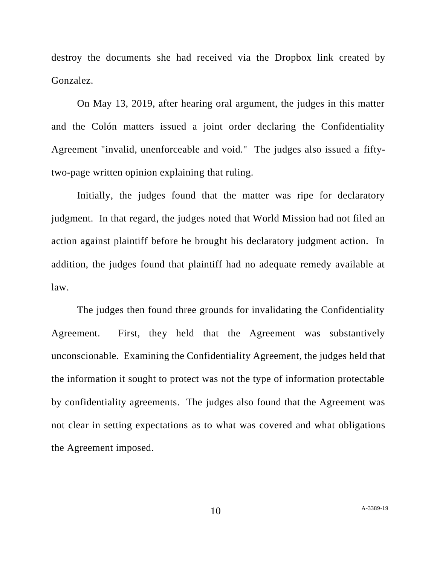destroy the documents she had received via the Dropbox link created by Gonzalez.

On May 13, 2019, after hearing oral argument, the judges in this matter and the Colón matters issued a joint order declaring the Confidentiality Agreement "invalid, unenforceable and void." The judges also issued a fiftytwo-page written opinion explaining that ruling.

Initially, the judges found that the matter was ripe for declaratory judgment. In that regard, the judges noted that World Mission had not filed an action against plaintiff before he brought his declaratory judgment action. In addition, the judges found that plaintiff had no adequate remedy available at law.

The judges then found three grounds for invalidating the Confidentiality Agreement. First, they held that the Agreement was substantively unconscionable. Examining the Confidentiality Agreement, the judges held that the information it sought to protect was not the type of information protectable by confidentiality agreements. The judges also found that the Agreement was not clear in setting expectations as to what was covered and what obligations the Agreement imposed.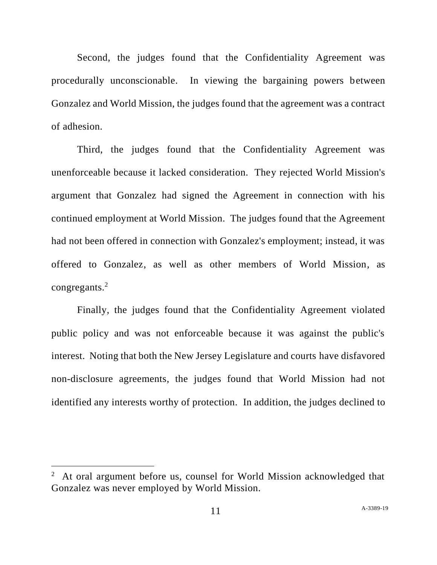Second, the judges found that the Confidentiality Agreement was procedurally unconscionable. In viewing the bargaining powers between Gonzalez and World Mission, the judges found that the agreement was a contract of adhesion.

Third, the judges found that the Confidentiality Agreement was unenforceable because it lacked consideration. They rejected World Mission's argument that Gonzalez had signed the Agreement in connection with his continued employment at World Mission. The judges found that the Agreement had not been offered in connection with Gonzalez's employment; instead, it was offered to Gonzalez, as well as other members of World Mission, as congregants.<sup>2</sup>

Finally, the judges found that the Confidentiality Agreement violated public policy and was not enforceable because it was against the public's interest. Noting that both the New Jersey Legislature and courts have disfavored non-disclosure agreements, the judges found that World Mission had not identified any interests worthy of protection. In addition, the judges declined to

 $2\,$  At oral argument before us, counsel for World Mission acknowledged that Gonzalez was never employed by World Mission.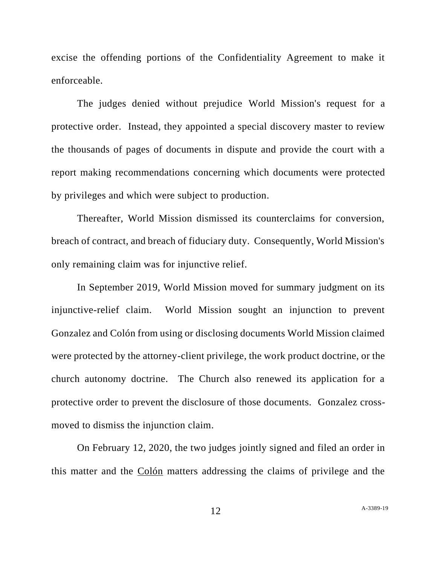excise the offending portions of the Confidentiality Agreement to make it enforceable.

The judges denied without prejudice World Mission's request for a protective order. Instead, they appointed a special discovery master to review the thousands of pages of documents in dispute and provide the court with a report making recommendations concerning which documents were protected by privileges and which were subject to production.

Thereafter, World Mission dismissed its counterclaims for conversion, breach of contract, and breach of fiduciary duty. Consequently, World Mission's only remaining claim was for injunctive relief.

In September 2019, World Mission moved for summary judgment on its injunctive-relief claim. World Mission sought an injunction to prevent Gonzalez and Colón from using or disclosing documents World Mission claimed were protected by the attorney-client privilege, the work product doctrine, or the church autonomy doctrine. The Church also renewed its application for a protective order to prevent the disclosure of those documents. Gonzalez crossmoved to dismiss the injunction claim.

On February 12, 2020, the two judges jointly signed and filed an order in this matter and the Colón matters addressing the claims of privilege and the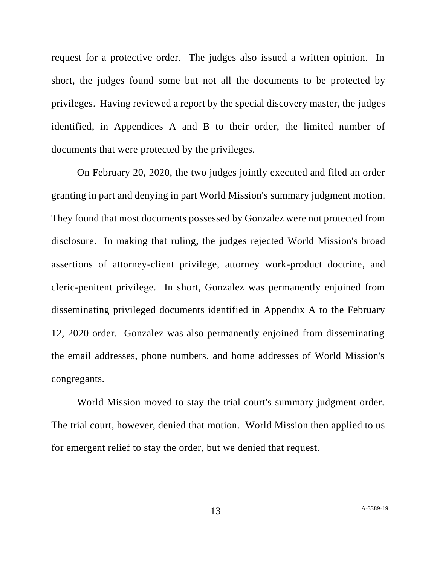request for a protective order. The judges also issued a written opinion. In short, the judges found some but not all the documents to be protected by privileges. Having reviewed a report by the special discovery master, the judges identified, in Appendices A and B to their order, the limited number of documents that were protected by the privileges.

On February 20, 2020, the two judges jointly executed and filed an order granting in part and denying in part World Mission's summary judgment motion. They found that most documents possessed by Gonzalez were not protected from disclosure. In making that ruling, the judges rejected World Mission's broad assertions of attorney-client privilege, attorney work-product doctrine, and cleric-penitent privilege. In short, Gonzalez was permanently enjoined from disseminating privileged documents identified in Appendix A to the February 12, 2020 order. Gonzalez was also permanently enjoined from disseminating the email addresses, phone numbers, and home addresses of World Mission's congregants.

World Mission moved to stay the trial court's summary judgment order. The trial court, however, denied that motion. World Mission then applied to us for emergent relief to stay the order, but we denied that request.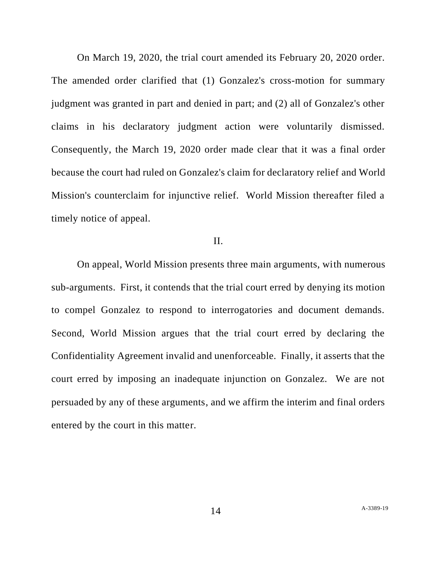On March 19, 2020, the trial court amended its February 20, 2020 order. The amended order clarified that (1) Gonzalez's cross-motion for summary judgment was granted in part and denied in part; and (2) all of Gonzalez's other claims in his declaratory judgment action were voluntarily dismissed. Consequently, the March 19, 2020 order made clear that it was a final order because the court had ruled on Gonzalez's claim for declaratory relief and World Mission's counterclaim for injunctive relief. World Mission thereafter filed a timely notice of appeal.

## II.

On appeal, World Mission presents three main arguments, with numerous sub-arguments. First, it contends that the trial court erred by denying its motion to compel Gonzalez to respond to interrogatories and document demands. Second, World Mission argues that the trial court erred by declaring the Confidentiality Agreement invalid and unenforceable. Finally, it asserts that the court erred by imposing an inadequate injunction on Gonzalez. We are not persuaded by any of these arguments, and we affirm the interim and final orders entered by the court in this matter.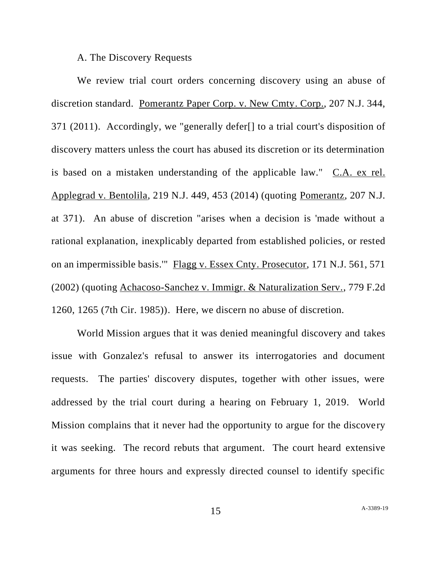### A. The Discovery Requests

We review trial court orders concerning discovery using an abuse of discretion standard. Pomerantz Paper Corp. v. New Cmty. Corp., 207 N.J. 344, 371 (2011). Accordingly, we "generally defer[] to a trial court's disposition of discovery matters unless the court has abused its discretion or its determination is based on a mistaken understanding of the applicable law." C.A. ex rel. Applegrad v. Bentolila, 219 N.J. 449, 453 (2014) (quoting Pomerantz, 207 N.J. at 371). An abuse of discretion "arises when a decision is 'made without a rational explanation, inexplicably departed from established policies, or rested on an impermissible basis.'" Flagg v. Essex Cnty. Prosecutor, 171 N.J. 561, 571 (2002) (quoting Achacoso-Sanchez v. Immigr. & Naturalization Serv., 779 F.2d 1260, 1265 (7th Cir. 1985)). Here, we discern no abuse of discretion.

World Mission argues that it was denied meaningful discovery and takes issue with Gonzalez's refusal to answer its interrogatories and document requests. The parties' discovery disputes, together with other issues, were addressed by the trial court during a hearing on February 1, 2019. World Mission complains that it never had the opportunity to argue for the discovery it was seeking. The record rebuts that argument. The court heard extensive arguments for three hours and expressly directed counsel to identify specific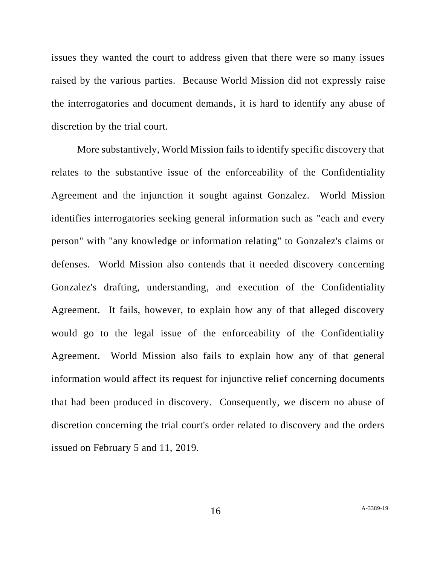issues they wanted the court to address given that there were so many issues raised by the various parties. Because World Mission did not expressly raise the interrogatories and document demands, it is hard to identify any abuse of discretion by the trial court.

More substantively, World Mission fails to identify specific discovery that relates to the substantive issue of the enforceability of the Confidentiality Agreement and the injunction it sought against Gonzalez. World Mission identifies interrogatories seeking general information such as "each and every person" with "any knowledge or information relating" to Gonzalez's claims or defenses. World Mission also contends that it needed discovery concerning Gonzalez's drafting, understanding, and execution of the Confidentiality Agreement. It fails, however, to explain how any of that alleged discovery would go to the legal issue of the enforceability of the Confidentiality Agreement. World Mission also fails to explain how any of that general information would affect its request for injunctive relief concerning documents that had been produced in discovery. Consequently, we discern no abuse of discretion concerning the trial court's order related to discovery and the orders issued on February 5 and 11, 2019.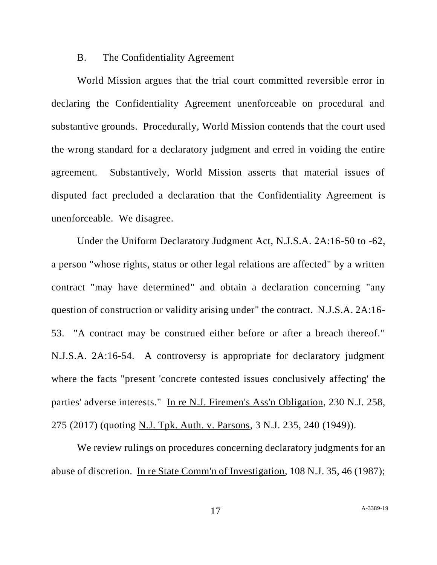### B. The Confidentiality Agreement

World Mission argues that the trial court committed reversible error in declaring the Confidentiality Agreement unenforceable on procedural and substantive grounds. Procedurally, World Mission contends that the court used the wrong standard for a declaratory judgment and erred in voiding the entire agreement. Substantively, World Mission asserts that material issues of disputed fact precluded a declaration that the Confidentiality Agreement is unenforceable. We disagree.

Under the Uniform Declaratory Judgment Act, N.J.S.A. 2A:16-50 to -62, a person "whose rights, status or other legal relations are affected" by a written contract "may have determined" and obtain a declaration concerning "any question of construction or validity arising under" the contract. N.J.S.A. 2A:16- 53. "A contract may be construed either before or after a breach thereof." N.J.S.A. 2A:16-54. A controversy is appropriate for declaratory judgment where the facts "present 'concrete contested issues conclusively affecting' the parties' adverse interests." In re N.J. Firemen's Ass'n Obligation, 230 N.J. 258, 275 (2017) (quoting N.J. Tpk. Auth. v. Parsons, 3 N.J. 235, 240 (1949)).

We review rulings on procedures concerning declaratory judgments for an abuse of discretion. In re State Comm'n of Investigation, 108 N.J. 35, 46 (1987);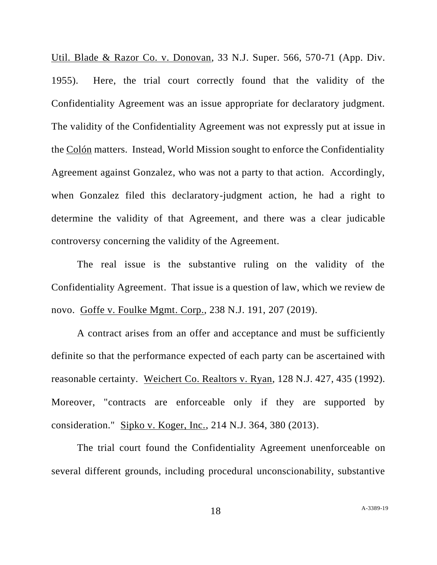Util. Blade & Razor Co. v. Donovan, 33 N.J. Super. 566, 570-71 (App. Div. 1955). Here, the trial court correctly found that the validity of the Confidentiality Agreement was an issue appropriate for declaratory judgment. The validity of the Confidentiality Agreement was not expressly put at issue in the Colón matters. Instead, World Mission sought to enforce the Confidentiality Agreement against Gonzalez, who was not a party to that action. Accordingly, when Gonzalez filed this declaratory-judgment action, he had a right to determine the validity of that Agreement, and there was a clear judicable controversy concerning the validity of the Agreement.

The real issue is the substantive ruling on the validity of the Confidentiality Agreement. That issue is a question of law, which we review de novo. Goffe v. Foulke Mgmt. Corp., 238 N.J. 191, 207 (2019).

A contract arises from an offer and acceptance and must be sufficiently definite so that the performance expected of each party can be ascertained with reasonable certainty. Weichert Co. Realtors v. Ryan, 128 N.J. 427, 435 (1992). Moreover, "contracts are enforceable only if they are supported by consideration." Sipko v. Koger, Inc., 214 N.J. 364, 380 (2013).

The trial court found the Confidentiality Agreement unenforceable on several different grounds, including procedural unconscionability, substantive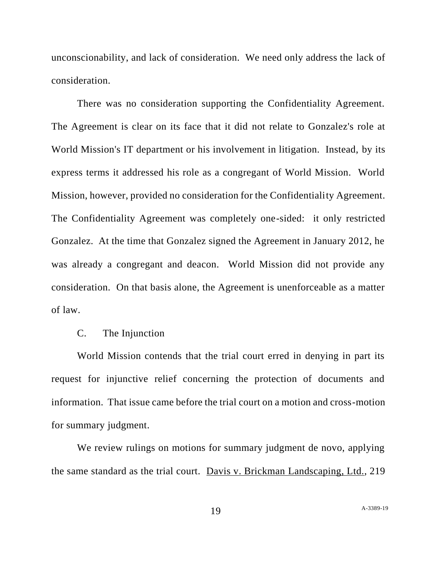unconscionability, and lack of consideration. We need only address the lack of consideration.

There was no consideration supporting the Confidentiality Agreement. The Agreement is clear on its face that it did not relate to Gonzalez's role at World Mission's IT department or his involvement in litigation. Instead, by its express terms it addressed his role as a congregant of World Mission. World Mission, however, provided no consideration for the Confidentiality Agreement. The Confidentiality Agreement was completely one-sided: it only restricted Gonzalez. At the time that Gonzalez signed the Agreement in January 2012, he was already a congregant and deacon. World Mission did not provide any consideration. On that basis alone, the Agreement is unenforceable as a matter of law.

### C. The Injunction

World Mission contends that the trial court erred in denying in part its request for injunctive relief concerning the protection of documents and information. That issue came before the trial court on a motion and cross-motion for summary judgment.

We review rulings on motions for summary judgment de novo, applying the same standard as the trial court. Davis v. Brickman Landscaping, Ltd., 219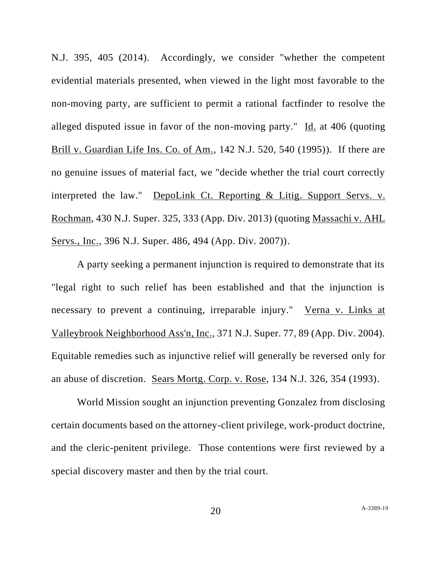N.J. 395, 405 (2014). Accordingly, we consider "whether the competent evidential materials presented, when viewed in the light most favorable to the non-moving party, are sufficient to permit a rational factfinder to resolve the alleged disputed issue in favor of the non-moving party." Id. at 406 (quoting Brill v. Guardian Life Ins. Co. of Am., 142 N.J. 520, 540 (1995)). If there are no genuine issues of material fact, we "decide whether the trial court correctly interpreted the law." DepoLink Ct. Reporting & Litig. Support Servs. v. Rochman, 430 N.J. Super. 325, 333 (App. Div. 2013) (quoting Massachi v. AHL Servs., Inc., 396 N.J. Super. 486, 494 (App. Div. 2007)).

A party seeking a permanent injunction is required to demonstrate that its "legal right to such relief has been established and that the injunction is necessary to prevent a continuing, irreparable injury." Verna v. Links at Valleybrook Neighborhood Ass'n, Inc., 371 N.J. Super. 77, 89 (App. Div. 2004). Equitable remedies such as injunctive relief will generally be reversed only for an abuse of discretion. Sears Mortg. Corp. v. Rose, 134 N.J. 326, 354 (1993).

World Mission sought an injunction preventing Gonzalez from disclosing certain documents based on the attorney-client privilege, work-product doctrine, and the cleric-penitent privilege. Those contentions were first reviewed by a special discovery master and then by the trial court.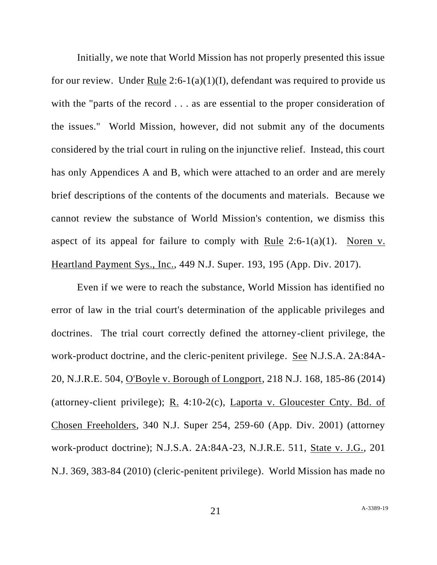Initially, we note that World Mission has not properly presented this issue for our review. Under Rule 2:6-1(a)(1)(I), defendant was required to provide us with the "parts of the record . . . as are essential to the proper consideration of the issues." World Mission, however, did not submit any of the documents considered by the trial court in ruling on the injunctive relief. Instead, this court has only Appendices A and B, which were attached to an order and are merely brief descriptions of the contents of the documents and materials. Because we cannot review the substance of World Mission's contention, we dismiss this aspect of its appeal for failure to comply with Rule  $2:6-1(a)(1)$ . Noren v. Heartland Payment Sys., Inc., 449 N.J. Super. 193, 195 (App. Div. 2017).

Even if we were to reach the substance, World Mission has identified no error of law in the trial court's determination of the applicable privileges and doctrines. The trial court correctly defined the attorney-client privilege, the work-product doctrine, and the cleric-penitent privilege. <u>See</u> N.J.S.A. 2A:84A-20, N.J.R.E. 504, O'Boyle v. Borough of Longport, 218 N.J. 168, 185-86 (2014) (attorney-client privilege);  $R_1$  4:10-2(c), Laporta v. Gloucester Cnty. Bd. of Chosen Freeholders, 340 N.J. Super 254, 259-60 (App. Div. 2001) (attorney work-product doctrine); N.J.S.A. 2A:84A-23, N.J.R.E. 511, State v. J.G., 201 N.J. 369, 383-84 (2010) (cleric-penitent privilege). World Mission has made no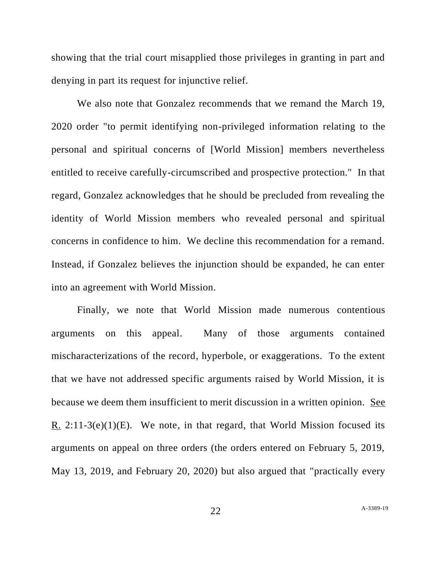showing that the trial court misapplied those privileges in granting in part and denying in part its request for injunctive relief.

We also note that Gonzalez recommends that we remand the March 19, 2020 order "to permit identifying non-privileged information relating to the personal and spiritual concerns of [World Mission] members nevertheless entitled to receive carefully-circumscribed and prospective protection." In that regard, Gonzalez acknowledges that he should be precluded from revealing the identity of World Mission members who revealed personal and spiritual concerns in confidence to him. We decline this recommendation for a remand. Instead, if Gonzalez believes the injunction should be expanded, he can enter into an agreement with World Mission.

Finally, we note that World Mission made numerous contentious arguments on this appeal. Many of those arguments contained mischaracterizations of the record, hyperbole, or exaggerations. To the extent that we have not addressed specific arguments raised by World Mission, it is because we deem them insufficient to merit discussion in a written opinion. See R.  $2:11-3(e)(1)(E)$ . We note, in that regard, that World Mission focused its arguments on appeal on three orders (the orders entered on February 5, 2019, May 13, 2019, and February 20, 2020) but also argued that "practically every